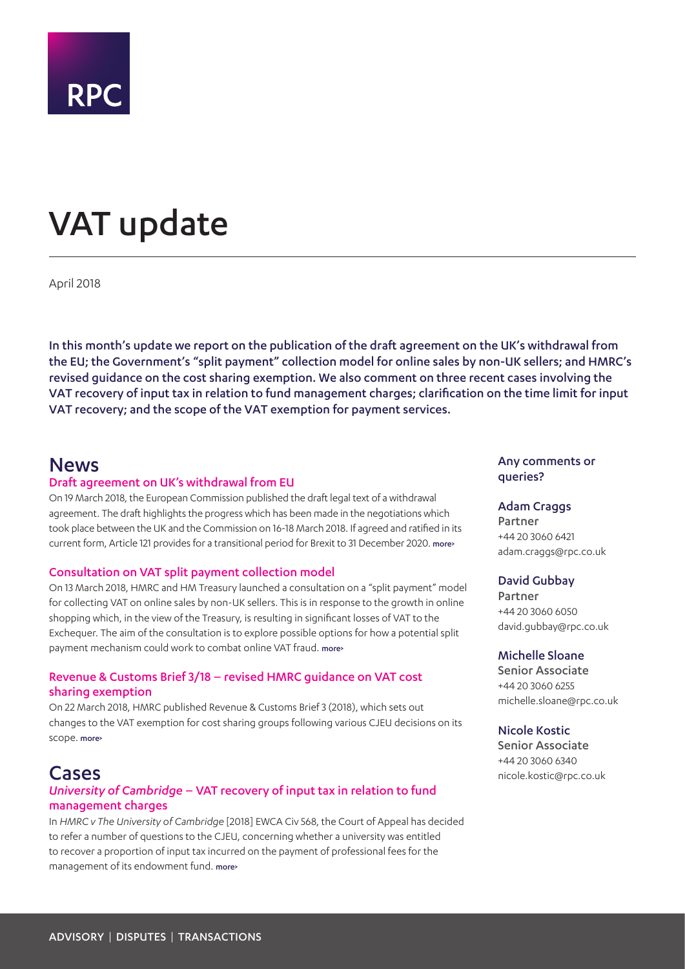

# <span id="page-0-0"></span>VAT update

April 2018

In this month's update we report on the publication of the draft agreement on the UK's withdrawal from the EU; the Government's "split payment" collection model for online sales by non-UK sellers; and HMRC's revised guidance on the cost sharing exemption. We also comment on three recent cases involving the VAT recovery of input tax in relation to fund management charges; clarification on the time limit for input VAT recovery; and the scope of the VAT exemption for payment services.

### News

### Draft agreement on UK's withdrawal from EU

On 19 March 2018, the European Commission published the draft legal text of a withdrawal agreement. The draft highlights the progress which has been made in the negotiations which took place between the UK and the Commission on 16-18 March 2018. If agreed and ratified in its current form, Article 121 provides for a transitional period for Brexit to 31 December 2020. more>

### Consultation on VAT split payment collection model

On 13 March 2018, HMRC and HM Treasury launched a consultation on a "split payment" model for collecting VAT on online sales by non-UK sellers. This is in response to the growth in online shopping which, in the view of the Treasury, is resulting in significant losses of VAT to the Exchequer. The aim of the consultation is to explore possible options for how a potential split payment mechanism could work to combat online VAT fraud. [more>](#page-2-0) 

### Revenue & Customs Brief 3/18 – revised HMRC guidance on VAT cost sharing exemption

On 22 March 2018, HMRC published Revenue & Customs Brief 3 (2018), which sets out changes to the VAT exemption for cost sharing groups following various CJEU decisions on its scope. more>

### Cases

### *University of Cambridge* – VAT recovery of input tax in relation to fund management charges

In *HMRC v The University of Cambridge* [2018] EWCA Civ 568, the Court of Appeal has decided to refer a number of questions to the CJEU, concerning whether a university was entitled to recover a proportion of input tax incurred on the payment of professional fees for the management of its endowment fund. [more>](#page-4-0) 

### Any comments or queries?

### Adam Craggs

Partner +44 20 3060 6421 adam.craggs@rpc.co.uk

### David Gubbay

Partner +44 20 3060 6050 david.gubbay@rpc.co.uk

### Michelle Sloane

Senior Associate +44 20 3060 6255 michelle.sloane@rpc.co.uk

### Nicole Kostic

Senior Associate +44 20 3060 6340 nicole.kostic@rpc.co.uk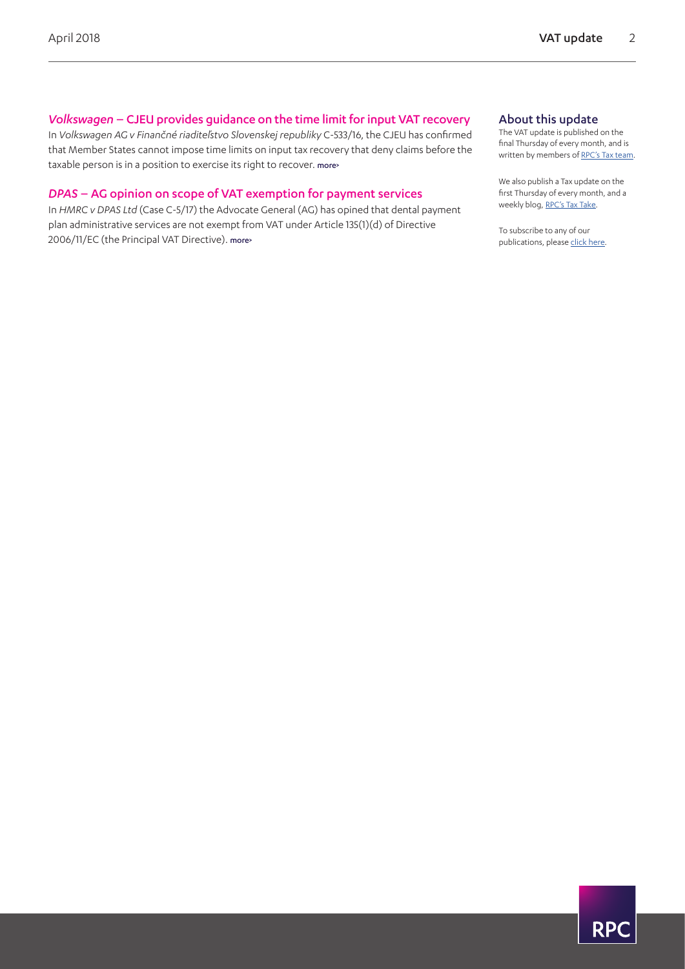### *Volkswagen* – CJEU provides guidance on the time limit for input VAT recovery

In *Volkswagen AG v Finančné riaditeľstvo Slovenskej republiky* C-533/16, the CJEU has confirmed that Member States cannot impose time limits on input tax recovery that deny claims before the taxable person is in a position to exercise its right to recover. [more>](#page-5-0) 

### *DPAS* – AG opinion on scope of VAT exemption for payment services

In *HMRC v DPAS Ltd* (Case C-5/17) the Advocate General (AG) has opined that dental payment plan administrative services are not exempt from VAT under Article 135(1)(d) of Directive 2006/11/EC (the Principal VAT Directive). [more>](#page-7-0) 

### About this update

The VAT update is published on the final Thursday of every month, and is written by members of [RPC's Tax team.](https://www.rpc.co.uk/expertise/disputes-litigation-and-investigations/tax-disputes)

We also publish a Tax update on the first Thursday of every month, and a weekly blog, [RPC's Tax Take.](https://www.rpc.co.uk/perspectives/?topic=tax-take)

To subscribe to any of our publications, please [click here.](https://sites-rpc.vuturevx.com/5/8/landing-pages/subscribe-london.asp)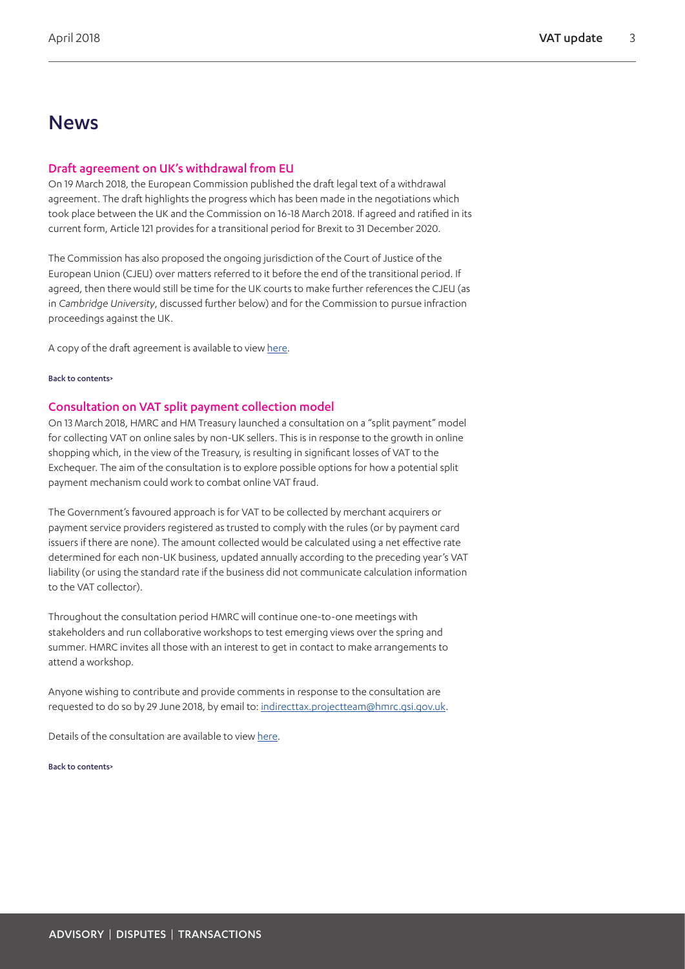### News

### Draft agreement on UK's withdrawal from EU

On 19 March 2018, the European Commission published the draft legal text of a withdrawal agreement. The draft highlights the progress which has been made in the negotiations which took place between the UK and the Commission on 16-18 March 2018. If agreed and ratified in its current form, Article 121 provides for a transitional period for Brexit to 31 December 2020.

The Commission has also proposed the ongoing jurisdiction of the Court of Justice of the European Union (CJEU) over matters referred to it before the end of the transitional period. If agreed, then there would still be time for the UK courts to make further references the CJEU (as in *Cambridge University*, discussed further below) and for the Commission to pursue infraction proceedings against the UK.

A copy of the draft agreement is available to view [here.](https://ec.europa.eu/commission/publications/draft-agreement-withdrawal-united-kingdom-great-britain-and-northern-ireland-european-union-and-european-atomic-energy-community-0_en)

### [Back to contents>](#page-0-0)

### <span id="page-2-0"></span>Consultation on VAT split payment collection model

On 13 March 2018, HMRC and HM Treasury launched a consultation on a "split payment" model for collecting VAT on online sales by non-UK sellers. This is in response to the growth in online shopping which, in the view of the Treasury, is resulting in significant losses of VAT to the Exchequer. The aim of the consultation is to explore possible options for how a potential split payment mechanism could work to combat online VAT fraud.

The Government's favoured approach is for VAT to be collected by merchant acquirers or payment service providers registered as trusted to comply with the rules (or by payment card issuers if there are none). The amount collected would be calculated using a net effective rate determined for each non-UK business, updated annually according to the preceding year's VAT liability (or using the standard rate if the business did not communicate calculation information to the VAT collector).

Throughout the consultation period HMRC will continue one-to-one meetings with stakeholders and run collaborative workshops to test emerging views over the spring and summer. HMRC invites all those with an interest to get in contact to make arrangements to attend a workshop.

Anyone wishing to contribute and provide comments in response to the consultation are requested to do so by 29 June 2018, by email to: [indirecttax.projectteam@hmrc.gsi.gov.uk](mailto:indirecttax.projectteam%40hmrc.gsi.gov.uk?subject=).

Details of the consultation are available to view [here](https://www.gov.uk/government/consultations/alternative-method-of-vat-collection-split-payment).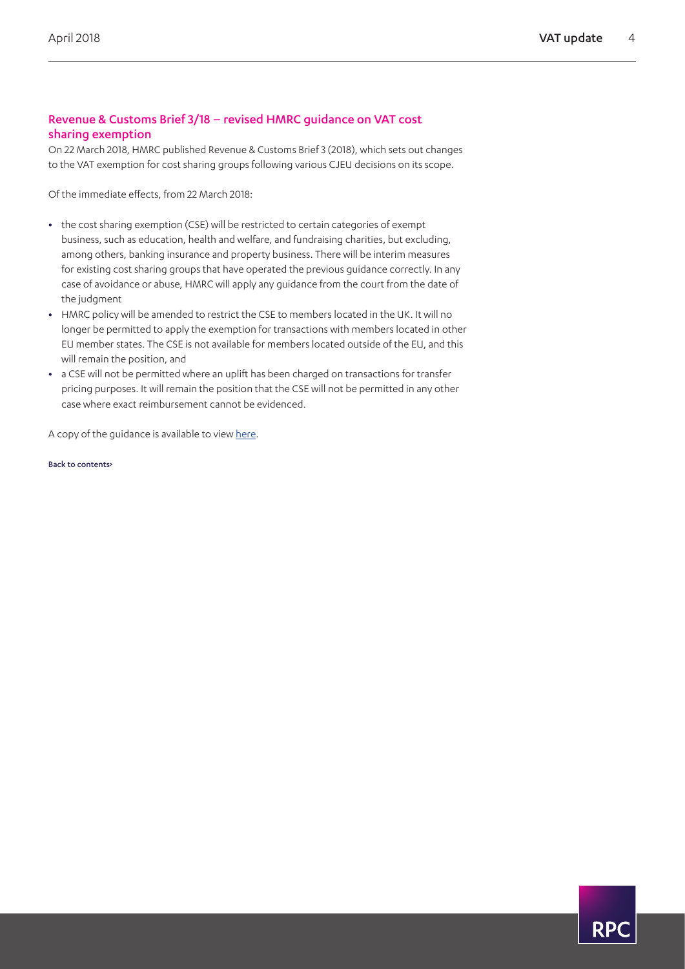### Revenue & Customs Brief 3/18 – revised HMRC guidance on VAT cost sharing exemption

On 22 March 2018, HMRC published Revenue & Customs Brief 3 (2018), which sets out changes to the VAT exemption for cost sharing groups following various CJEU decisions on its scope.

Of the immediate effects, from 22 March 2018:

- **•** the cost sharing exemption (CSE) will be restricted to certain categories of exempt business, such as education, health and welfare, and fundraising charities, but excluding, among others, banking insurance and property business. There will be interim measures for existing cost sharing groups that have operated the previous guidance correctly. In any case of avoidance or abuse, HMRC will apply any guidance from the court from the date of the judgment
- **•** HMRC policy will be amended to restrict the CSE to members located in the UK. It will no longer be permitted to apply the exemption for transactions with members located in other EU member states. The CSE is not available for members located outside of the EU, and this will remain the position, and
- **•** a CSE will not be permitted where an uplift has been charged on transactions for transfer pricing purposes. It will remain the position that the CSE will not be permitted in any other case where exact reimbursement cannot be evidenced.

A copy of the guidance is available to view [here](https://www.gov.uk/government/publications/revenue-and-customs-brief-3-2018-changes-to-the-vat-exemption-for-cost-sharing-groups/revenue-and-customs-brief-3-2018-changes-to-the-vat-exemption-for-cost-sharing-groups).

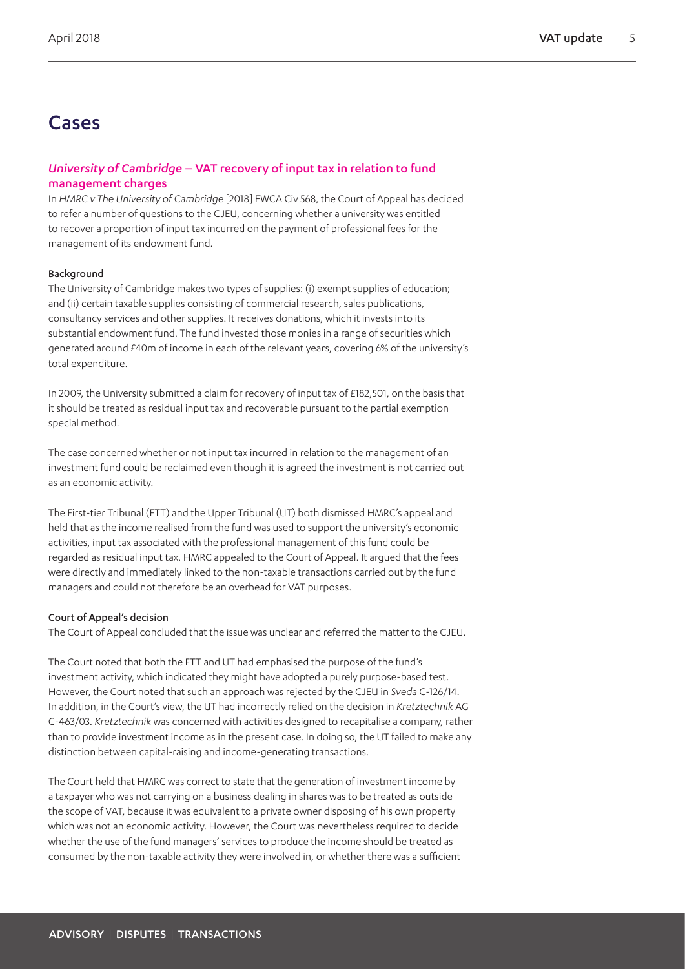## Cases

### <span id="page-4-0"></span>*University of Cambridge* – VAT recovery of input tax in relation to fund management charges

In *HMRC v The University of Cambridge* [2018] EWCA Civ 568, the Court of Appeal has decided to refer a number of questions to the CJEU, concerning whether a university was entitled to recover a proportion of input tax incurred on the payment of professional fees for the management of its endowment fund.

### Background

The University of Cambridge makes two types of supplies: (i) exempt supplies of education; and (ii) certain taxable supplies consisting of commercial research, sales publications, consultancy services and other supplies. It receives donations, which it invests into its substantial endowment fund. The fund invested those monies in a range of securities which generated around £40m of income in each of the relevant years, covering 6% of the university's total expenditure.

In 2009, the University submitted a claim for recovery of input tax of £182,501, on the basis that it should be treated as residual input tax and recoverable pursuant to the partial exemption special method.

The case concerned whether or not input tax incurred in relation to the management of an investment fund could be reclaimed even though it is agreed the investment is not carried out as an economic activity.

The First-tier Tribunal (FTT) and the Upper Tribunal (UT) both dismissed HMRC's appeal and held that as the income realised from the fund was used to support the university's economic activities, input tax associated with the professional management of this fund could be regarded as residual input tax. HMRC appealed to the Court of Appeal. It argued that the fees were directly and immediately linked to the non-taxable transactions carried out by the fund managers and could not therefore be an overhead for VAT purposes.

### Court of Appeal's decision

The Court of Appeal concluded that the issue was unclear and referred the matter to the CJEU.

The Court noted that both the FTT and UT had emphasised the purpose of the fund's investment activity, which indicated they might have adopted a purely purpose-based test. However, the Court noted that such an approach was rejected by the CJEU in *Sveda* C-126/14. In addition, in the Court's view, the UT had incorrectly relied on the decision in *Kretztechnik* AG C-463/03. *Kretztechnik* was concerned with activities designed to recapitalise a company, rather than to provide investment income as in the present case. In doing so, the UT failed to make any distinction between capital-raising and income-generating transactions.

The Court held that HMRC was correct to state that the generation of investment income by a taxpayer who was not carrying on a business dealing in shares was to be treated as outside the scope of VAT, because it was equivalent to a private owner disposing of his own property which was not an economic activity. However, the Court was nevertheless required to decide whether the use of the fund managers' services to produce the income should be treated as consumed by the non-taxable activity they were involved in, or whether there was a sufficient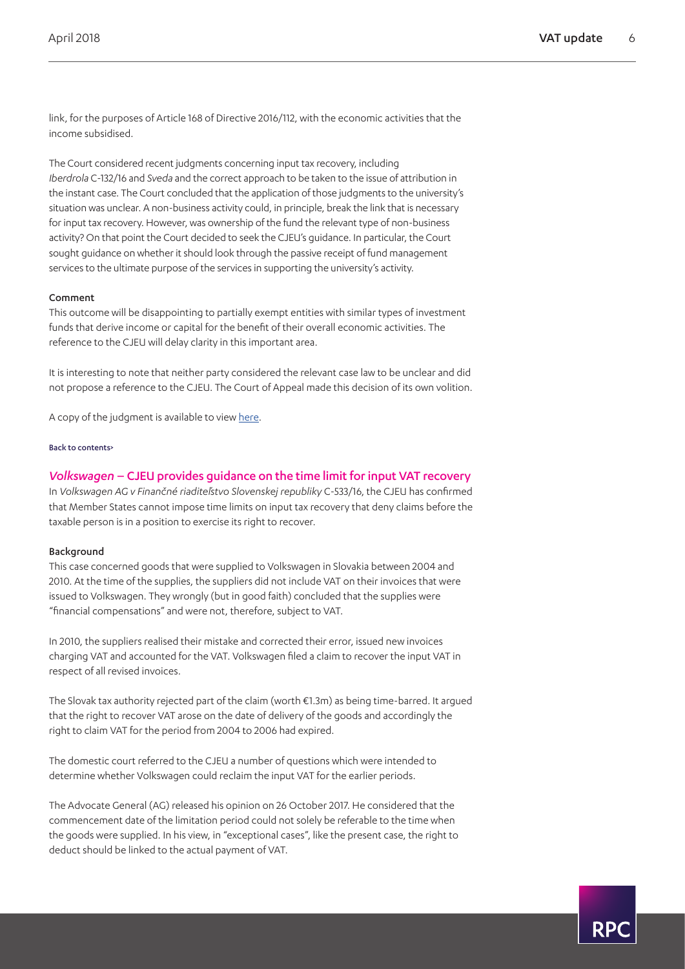link, for the purposes of Article 168 of Directive 2016/112, with the economic activities that the income subsidised.

The Court considered recent judgments concerning input tax recovery, including *Iberdrola* C-132/16 and *Sveda* and the correct approach to be taken to the issue of attribution in the instant case. The Court concluded that the application of those judgments to the university's situation was unclear. A non-business activity could, in principle, break the link that is necessary for input tax recovery. However, was ownership of the fund the relevant type of non-business activity? On that point the Court decided to seek the CJEU's guidance. In particular, the Court sought guidance on whether it should look through the passive receipt of fund management services to the ultimate purpose of the services in supporting the university's activity.

### Comment

This outcome will be disappointing to partially exempt entities with similar types of investment funds that derive income or capital for the benefit of their overall economic activities. The reference to the CJEU will delay clarity in this important area.

It is interesting to note that neither party considered the relevant case law to be unclear and did not propose a reference to the CJEU. The Court of Appeal made this decision of its own volition.

A copy of the judgment is available to view [here](http://www.bailii.org/ew/cases/EWCA/Civ/2018/568.html).

### [Back to contents>](#page-0-0)

### <span id="page-5-0"></span>*Volkswagen* – CJEU provides guidance on the time limit for input VAT recovery

In *Volkswagen AG v Finančné riaditeľstvo Slovenskej republiky* C-533/16, the CJEU has confirmed that Member States cannot impose time limits on input tax recovery that deny claims before the taxable person is in a position to exercise its right to recover.

### Background

This case concerned goods that were supplied to Volkswagen in Slovakia between 2004 and 2010. At the time of the supplies, the suppliers did not include VAT on their invoices that were issued to Volkswagen. They wrongly (but in good faith) concluded that the supplies were "financial compensations" and were not, therefore, subject to VAT.

In 2010, the suppliers realised their mistake and corrected their error, issued new invoices charging VAT and accounted for the VAT. Volkswagen filed a claim to recover the input VAT in respect of all revised invoices.

The Slovak tax authority rejected part of the claim (worth €1.3m) as being time-barred. It argued that the right to recover VAT arose on the date of delivery of the goods and accordingly the right to claim VAT for the period from 2004 to 2006 had expired.

The domestic court referred to the CJEU a number of questions which were intended to determine whether Volkswagen could reclaim the input VAT for the earlier periods.

The Advocate General (AG) released his opinion on 26 October 2017. He considered that the commencement date of the limitation period could not solely be referable to the time when the goods were supplied. In his view, in "exceptional cases", like the present case, the right to deduct should be linked to the actual payment of VAT.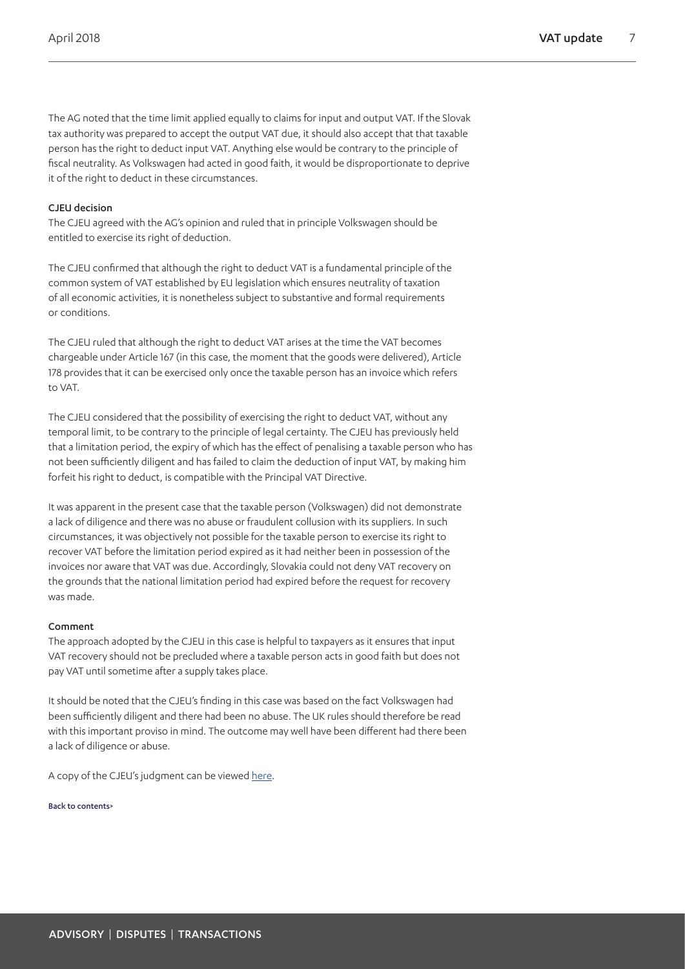The AG noted that the time limit applied equally to claims for input and output VAT. If the Slovak tax authority was prepared to accept the output VAT due, it should also accept that that taxable person has the right to deduct input VAT. Anything else would be contrary to the principle of fiscal neutrality. As Volkswagen had acted in good faith, it would be disproportionate to deprive it of the right to deduct in these circumstances.

### CJEU decision

The CJEU agreed with the AG's opinion and ruled that in principle Volkswagen should be entitled to exercise its right of deduction.

The CJEU confirmed that although the right to deduct VAT is a fundamental principle of the common system of VAT established by EU legislation which ensures neutrality of taxation of all economic activities, it is nonetheless subject to substantive and formal requirements or conditions.

The CJEU ruled that although the right to deduct VAT arises at the time the VAT becomes chargeable under Article 167 (in this case, the moment that the goods were delivered), Article 178 provides that it can be exercised only once the taxable person has an invoice which refers to VAT.

The CJEU considered that the possibility of exercising the right to deduct VAT, without any temporal limit, to be contrary to the principle of legal certainty. The CJEU has previously held that a limitation period, the expiry of which has the effect of penalising a taxable person who has not been sufficiently diligent and has failed to claim the deduction of input VAT, by making him forfeit his right to deduct, is compatible with the Principal VAT Directive.

It was apparent in the present case that the taxable person (Volkswagen) did not demonstrate a lack of diligence and there was no abuse or fraudulent collusion with its suppliers. In such circumstances, it was objectively not possible for the taxable person to exercise its right to recover VAT before the limitation period expired as it had neither been in possession of the invoices nor aware that VAT was due. Accordingly, Slovakia could not deny VAT recovery on the grounds that the national limitation period had expired before the request for recovery was made.

### Comment

The approach adopted by the CJEU in this case is helpful to taxpayers as it ensures that input VAT recovery should not be precluded where a taxable person acts in good faith but does not pay VAT until sometime after a supply takes place.

It should be noted that the CJEU's finding in this case was based on the fact Volkswagen had been sufficiently diligent and there had been no abuse. The UK rules should therefore be read with this important proviso in mind. The outcome may well have been different had there been a lack of diligence or abuse.

A copy of the CJEU's judgment can be viewed [here](http://www.bailii.org/eu/cases/EUECJ/2018/C53316.html).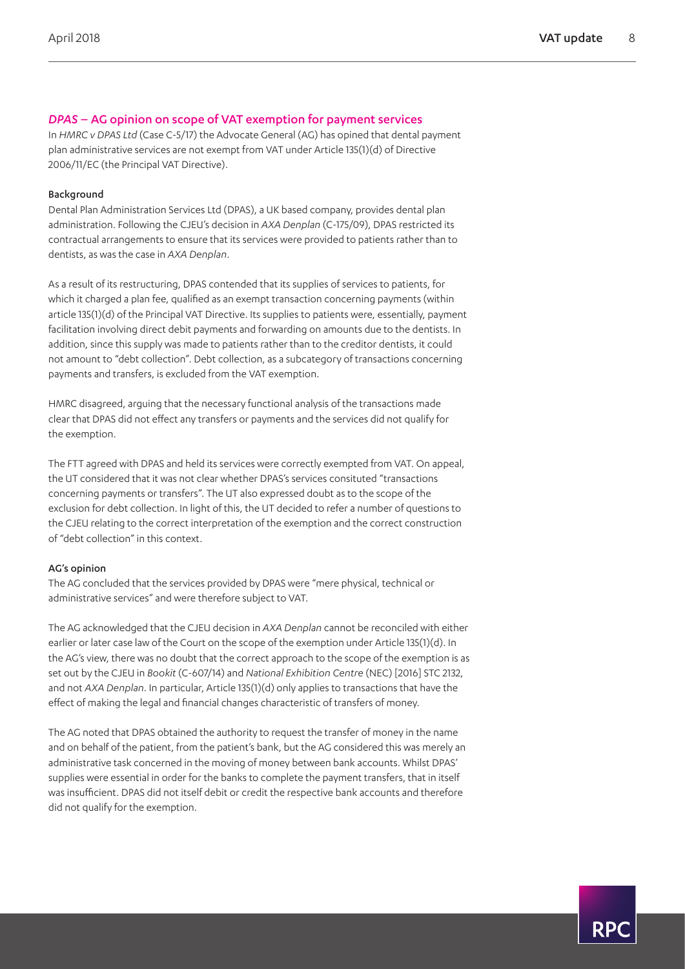### <span id="page-7-0"></span>*DPAS* – AG opinion on scope of VAT exemption for payment services

In *HMRC v DPAS Ltd* (Case C-5/17) the Advocate General (AG) has opined that dental payment plan administrative services are not exempt from VAT under Article 135(1)(d) of Directive 2006/11/EC (the Principal VAT Directive).

### Background

Dental Plan Administration Services Ltd (DPAS), a UK based company, provides dental plan administration. Following the CJEU's decision in *AXA Denplan* (C-175/09), DPAS restricted its contractual arrangements to ensure that its services were provided to patients rather than to dentists, as was the case in *AXA Denplan*.

As a result of its restructuring, DPAS contended that its supplies of services to patients, for which it charged a plan fee, qualified as an exempt transaction concerning payments (within article 135(1)(d) of the Principal VAT Directive. Its supplies to patients were, essentially, payment facilitation involving direct debit payments and forwarding on amounts due to the dentists. In addition, since this supply was made to patients rather than to the creditor dentists, it could not amount to "debt collection". Debt collection, as a subcategory of transactions concerning payments and transfers, is excluded from the VAT exemption.

HMRC disagreed, arguing that the necessary functional analysis of the transactions made clear that DPAS did not effect any transfers or payments and the services did not qualify for the exemption.

The FTT agreed with DPAS and held its services were correctly exempted from VAT. On appeal, the UT considered that it was not clear whether DPAS's services consituted "transactions concerning payments or transfers". The UT also expressed doubt as to the scope of the exclusion for debt collection. In light of this, the UT decided to refer a number of questions to the CJEU relating to the correct interpretation of the exemption and the correct construction of "debt collection" in this context.

### AG's opinion

The AG concluded that the services provided by DPAS were "mere physical, technical or administrative services" and were therefore subject to VAT.

The AG acknowledged that the CJEU decision in *AXA Denplan* cannot be reconciled with either earlier or later case law of the Court on the scope of the exemption under Article 135(1)(d). In the AG's view, there was no doubt that the correct approach to the scope of the exemption is as set out by the CJEU in *Bookit* (C-607/14) and *National Exhibition Centre* (NEC) [2016] STC 2132, and not *AXA Denplan*. In particular, Article 135(1)(d) only applies to transactions that have the effect of making the legal and financial changes characteristic of transfers of money.

The AG noted that DPAS obtained the authority to request the transfer of money in the name and on behalf of the patient, from the patient's bank, but the AG considered this was merely an administrative task concerned in the moving of money between bank accounts. Whilst DPAS' supplies were essential in order for the banks to complete the payment transfers, that in itself was insufficient. DPAS did not itself debit or credit the respective bank accounts and therefore did not qualify for the exemption.

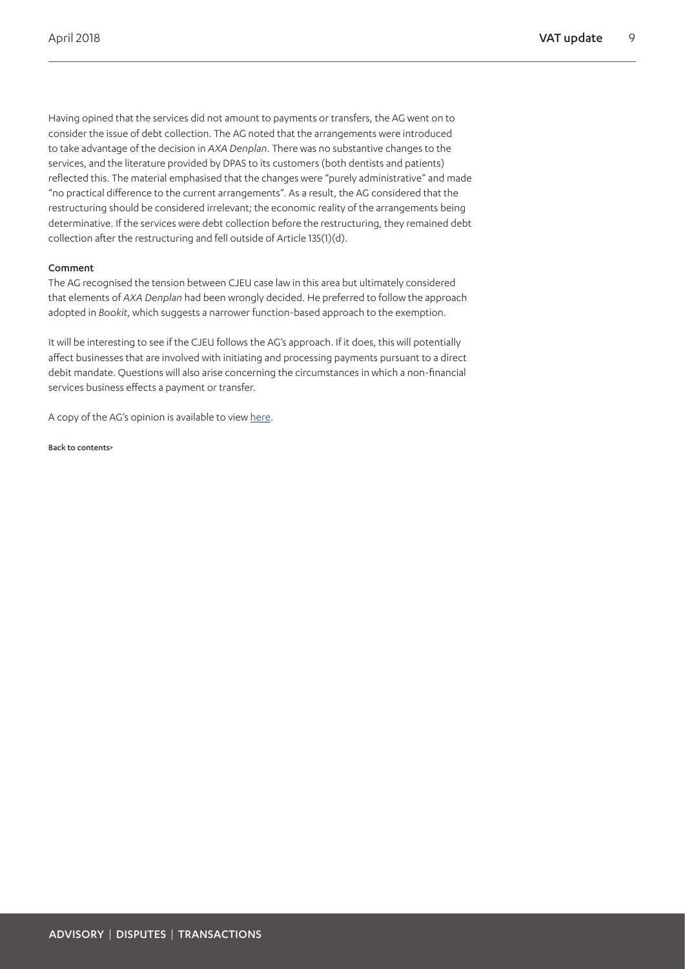Having opined that the services did not amount to payments or transfers, the AG went on to consider the issue of debt collection. The AG noted that the arrangements were introduced to take advantage of the decision in *AXA Denplan*. There was no substantive changes to the services, and the literature provided by DPAS to its customers (both dentists and patients) reflected this. The material emphasised that the changes were "purely administrative" and made "no practical difference to the current arrangements". As a result, the AG considered that the restructuring should be considered irrelevant; the economic reality of the arrangements being determinative. If the services were debt collection before the restructuring, they remained debt collection after the restructuring and fell outside of Article 135(1)(d).

### Comment

The AG recognised the tension between CJEU case law in this area but ultimately considered that elements of *AXA Denplan* had been wrongly decided. He preferred to follow the approach adopted in *Bookit*, which suggests a narrower function-based approach to the exemption.

It will be interesting to see if the CJEU follows the AG's approach. If it does, this will potentially affect businesses that are involved with initiating and processing payments pursuant to a direct debit mandate. Questions will also arise concerning the circumstances in which a non-financial services business effects a payment or transfer.

A copy of the AG's opinion is available to view [here](http://curia.europa.eu/juris/document/document.jsf?text=&docid=200486&pageIndex=0&doclang=EN&mode=req&dir=&occ=first&part=1&cid=509187).